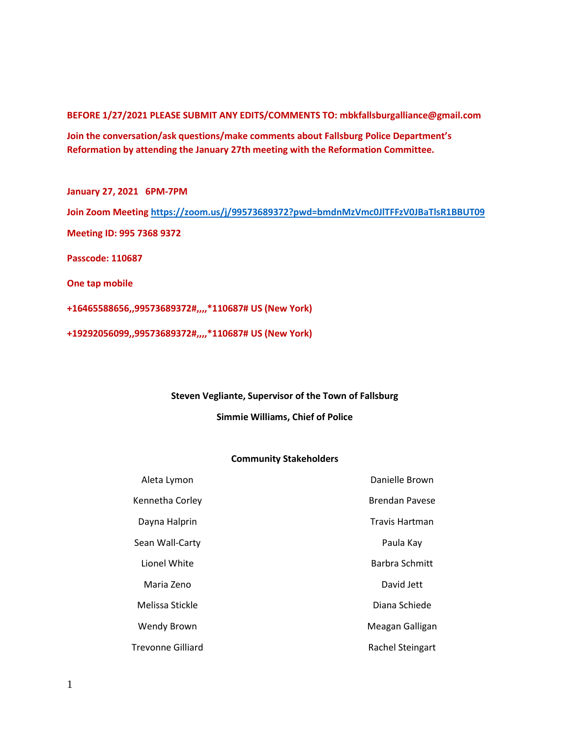**BEFORE 1/27/2021 PLEASE SUBMIT ANY EDITS/COMMENTS TO: mbkfallsburgalliance@gmail.com**

**Join the conversation/ask questions/make comments about Fallsburg Police Department's Reformation by attending the January 27th meeting with the Reformation Committee.**

**January 27, 2021 6PM-7PM Join Zoom Meeting<https://zoom.us/j/99573689372?pwd=bmdnMzVmc0JlTFFzV0JBaTlsR1BBUT09> Meeting ID: 995 7368 9372 Passcode: 110687 One tap mobile +16465588656,,99573689372#,,,,\*110687# US (New York)**

**+19292056099,,99573689372#,,,,\*110687# US (New York)**

#### **Steven Vegliante, Supervisor of the Town of Fallsburg**

**Simmie Williams, Chief of Police**

#### **Community Stakeholders**

| Aleta Lymon        | Danielle Brown          |
|--------------------|-------------------------|
| Kennetha Corley    | <b>Brendan Pavese</b>   |
| Dayna Halprin      | Travis Hartman          |
| Sean Wall-Carty    | Paula Kay               |
| Lionel White       | <b>Barbra Schmitt</b>   |
| Maria Zeno         | David Jett              |
| Melissa Stickle    | Diana Schiede           |
| <b>Wendy Brown</b> | Meagan Galligan         |
| Trevonne Gilliard  | <b>Rachel Steingart</b> |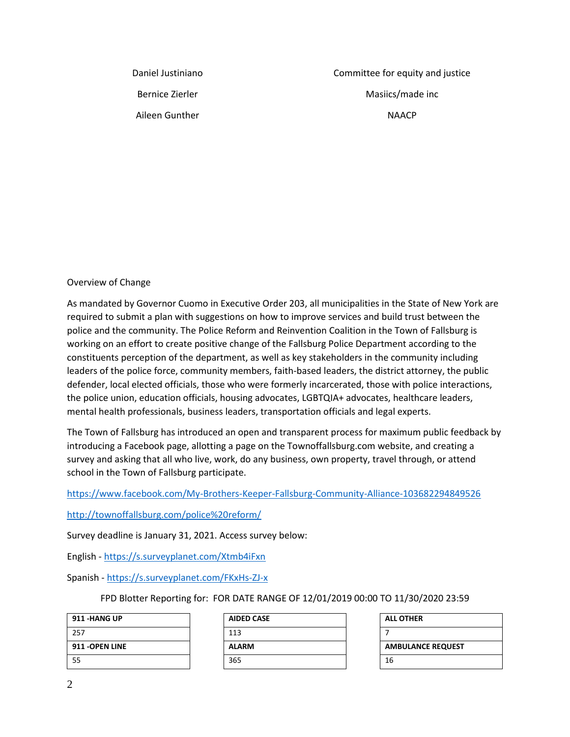Daniel Justiniano

Bernice Zierler

Aileen Gunther

Committee for equity and justice Masiics/made inc NAACP

# Overview of Change

As mandated by Governor Cuomo in Executive Order 203, all municipalities in the State of New York are required to submit a plan with suggestions on how to improve services and build trust between the police and the community. The Police Reform and Reinvention Coalition in the Town of Fallsburg is working on an effort to create positive change of the Fallsburg Police Department according to the constituents perception of the department, as well as key stakeholders in the community including leaders of the police force, community members, faith-based leaders, the district attorney, the public defender, local elected officials, those who were formerly incarcerated, those with police interactions, the police union, education officials, housing advocates, LGBTQIA+ advocates, healthcare leaders, mental health professionals, business leaders, transportation officials and legal experts.

The Town of Fallsburg has introduced an open and transparent process for maximum public feedback by introducing a Facebook page, allotting a page on the Townoffallsburg.com website, and creating a survey and asking that all who live, work, do any business, own property, travel through, or attend school in the Town of Fallsburg participate.

<https://www.facebook.com/My-Brothers-Keeper-Fallsburg-Community-Alliance-103682294849526>

<http://townoffallsburg.com/police%20reform/>

Survey deadline is January 31, 2021. Access survey below:

English - <https://s.surveyplanet.com/Xtmb4iFxn>

Spanish - <https://s.surveyplanet.com/FKxHs-ZJ-x>

FPD Blotter Reporting for: FOR DATE RANGE OF 12/01/2019 00:00 TO 11/30/2020 23:59

| 911 -HANG UP    |
|-----------------|
| 257             |
| 911 - OPEN LINE |
| 55              |

| <b>AIDED CASE</b> |
|-------------------|
| 113               |
| <b>ALARM</b>      |
| 365               |

| <b>ALL OTHER</b>         |
|--------------------------|
|                          |
| <b>AMBULANCE REQUEST</b> |
| 16                       |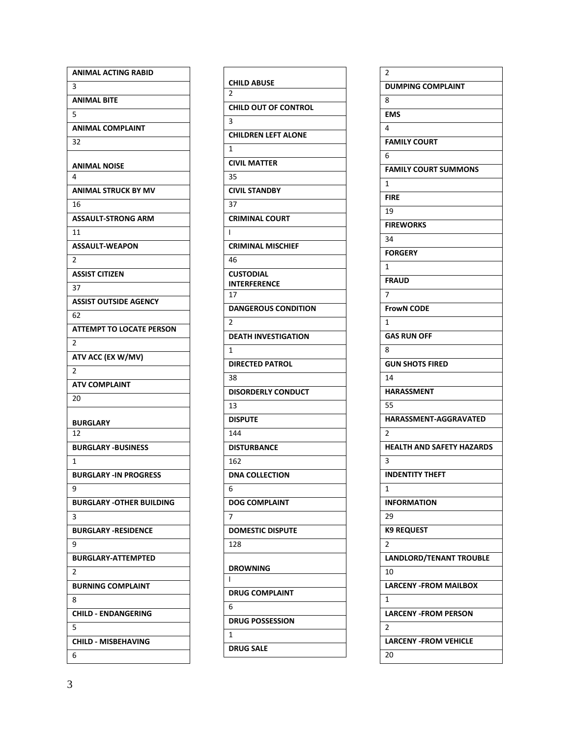| <b>ANIMAL ACTING RABID</b>      |
|---------------------------------|
| 3                               |
| <b>ANIMAL BITE</b>              |
| 5                               |
| <b>ANIMAL COMPLAINT</b>         |
| 32                              |
|                                 |
| ANIMAL NOISE                    |
| 4                               |
| <b>ANIMAL STRUCK BY MV</b>      |
| 16                              |
| <b>ASSAULT-STRONG ARM</b>       |
| 11                              |
| <b>ASSAULT-WEAPON</b>           |
| $\overline{2}$                  |
| <b>ASSIST CITIZEN</b>           |
| 37                              |
| <b>ASSIST OUTSIDE AGENCY</b>    |
| 62                              |
| <b>ATTEMPT TO LOCATE PERSON</b> |
| 2                               |
| ATV ACC (EX W/MV)               |
| $\overline{2}$                  |
| <b>ATV COMPLAINT</b>            |
| 20                              |
|                                 |
|                                 |
| <b>BURGLARY</b>                 |
| 12                              |
| <b>BURGLARY -BUSINESS</b>       |
| 1                               |
| <b>BURGLARY -IN PROGRESS</b>    |
| 9                               |
| <b>BURGLARY -OTHER BUILDING</b> |
| 3                               |
| <b>BURGLARY -RESIDENCE</b>      |
| 9                               |
| <b>BURGLARY-ATTEMPTED</b>       |
| 2                               |
| <b>BURNING COMPLAINT</b>        |
| 8                               |
| <b>CHILD - ENDANGERING</b>      |
| 5                               |
| <b>CHILD - MISBEHAVING</b>      |

| <b>CHILD ABUSE</b><br>2     |
|-----------------------------|
| <b>CHILD OUT OF CONTROL</b> |
| 3                           |
|                             |
| <b>CHILDREN LEFT ALONE</b>  |
| $\mathbf{1}$                |
| <b>CIVIL MATTER</b>         |
| 35                          |
| <b>CIVIL STANDBY</b>        |
| 37                          |
| <b>CRIMINAL COURT</b>       |
| I                           |
| <b>CRIMINAL MISCHIEF</b>    |
| 46                          |
| <b>CUSTODIAL</b>            |
| <b>INTERFERENCE</b>         |
| 17                          |
| <b>DANGEROUS CONDITION</b>  |
| $\overline{2}$              |
| <b>DEATH INVESTIGATION</b>  |
| $\mathbf{1}$                |
| <b>DIRECTED PATROL</b>      |
| 38                          |
| <b>DISORDERLY CONDUCT</b>   |
| 13                          |
| <b>DISPUTE</b>              |
| 144                         |
| <b>DISTURBANCE</b>          |
| 162                         |
| <b>DNA COLLECTION</b>       |
| 6                           |
| <b>DOG COMPLAINT</b>        |
| 7                           |
| <b>DOMESTIC DISPUTE</b>     |
| 128                         |
|                             |
| <b>DROWNING</b>             |
| ı                           |
| <b>DRUG COMPLAINT</b>       |
| 6                           |
| <b>DRUG POSSESSION</b>      |
| 1                           |
| DRUG SALE                   |

| 2                                |
|----------------------------------|
| <b>DUMPING COMPLAINT</b>         |
| 8                                |
| <b>EMS</b>                       |
| 4                                |
| <b>FAMILY COURT</b>              |
| 6                                |
| <b>FAMILY COURT SUMMONS</b>      |
| 1                                |
| FIRE                             |
| 19                               |
| <b>FIREWORKS</b>                 |
| 34                               |
| <b>FORGERY</b>                   |
| 1                                |
| <b>FRAUD</b>                     |
| $\overline{7}$                   |
| <b>FrowN CODE</b>                |
| 1                                |
| <b>GAS RUN OFF</b>               |
| 8                                |
| <b>GUN SHOTS FIRED</b>           |
| 14                               |
| <b>HARASSMENT</b>                |
| 55                               |
| <b>HARASSMENT-AGGRAVATED</b>     |
| $\overline{2}$                   |
| <b>HEALTH AND SAFETY HAZARDS</b> |
| 3                                |
| <b>INDENTITY THEFT</b>           |
| 1                                |
| <b>INFORMATION</b>               |
| 29                               |
| <b>K9 REQUEST</b>                |
| 2                                |
| <b>LANDLORD/TENANT TROUBLE</b>   |
| 10                               |
| <b>LARCENY - FROM MAILBOX</b>    |
| 1                                |
| <b>LARCENY -FROM PERSON</b>      |
| 2                                |
| <b>LARCENY - FROM VEHICLE</b>    |
| 20                               |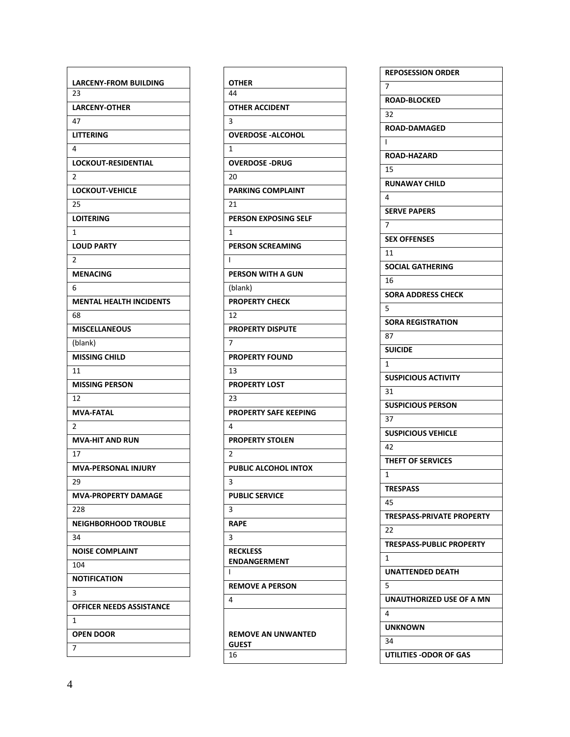| LARCENY-FROM BUILDING           |
|---------------------------------|
| 23                              |
| <b>LARCENY-OTHER</b>            |
| 47                              |
| <b>LITTERING</b>                |
| 4                               |
| <b>LOCKOUT-RESIDENTIAL</b>      |
| $\overline{2}$                  |
| <b>LOCKOUT-VEHICLE</b>          |
| 25                              |
| <b>LOITERING</b>                |
| 1                               |
| <b>LOUD PARTY</b>               |
| $\overline{2}$                  |
| <b>MENACING</b>                 |
| 6                               |
| <b>MENTAL HEALTH INCIDENTS</b>  |
| 68                              |
| <b>MISCELLANEOUS</b>            |
| (blank)                         |
| <b>MISSING CHILD</b>            |
| 11                              |
| <b>MISSING PERSON</b>           |
| 12                              |
| <b>MVA-FATAL</b>                |
| 2                               |
| <b>MVA-HIT AND RUN</b>          |
| 17                              |
| <b>MVA-PERSONAL INJURY</b>      |
| 29                              |
| <b>MVA-PROPERTY DAMAGE</b>      |
| 228                             |
| <b>NEIGHBORHOOD TROUBLE</b>     |
| 34                              |
| <b>NOISE COMPLAINT</b>          |
| 104                             |
| <b>NOTIFICATION</b>             |
| 3                               |
| <b>OFFICER NEEDS ASSISTANCE</b> |
| 1                               |
|                                 |
| <b>OPEN DOOR</b>                |
| 7                               |

| <b>OTHER</b>                              |
|-------------------------------------------|
| 44                                        |
| <b>OTHER ACCIDENT</b>                     |
| $\overline{3}$                            |
| <b>OVERDOSE -ALCOHOL</b>                  |
| $\mathbf{1}$                              |
| <b>OVERDOSE -DRUG</b>                     |
| 20                                        |
| <b>PARKING COMPLAINT</b>                  |
| 21                                        |
| <b>PERSON EXPOSING SELF</b>               |
| 1                                         |
| <b>PERSON SCREAMING</b>                   |
| ı                                         |
| PERSON WITH A GUN                         |
| (blank)                                   |
| <b>PROPERTY CHECK</b>                     |
| 12                                        |
| <b>PROPERTY DISPUTE</b>                   |
| $\overline{7}$                            |
| <b>PROPERTY FOUND</b>                     |
| 13                                        |
| <b>PROPERTY LOST</b>                      |
| 23                                        |
| <b>PROPERTY SAFE KEEPING</b>              |
| $\overline{a}$                            |
| <b>PROPERTY STOLEN</b>                    |
| $\overline{2}$                            |
| <b>PUBLIC ALCOHOL INTOX</b>               |
| 3                                         |
| <b>PUBLIC SERVICE</b>                     |
| з                                         |
| <b>RAPE</b>                               |
| 3                                         |
| <b>RECKLESS</b>                           |
| <b>ENDANGERMENT</b>                       |
| ı                                         |
| <b>REMOVE A PERSON</b>                    |
| 4                                         |
|                                           |
|                                           |
| <b>REMOVE AN UNWANTED</b><br><b>GUEST</b> |
| 16                                        |

| <b>REPOSESSION ORDER</b>         |
|----------------------------------|
| 7                                |
| <b>ROAD-BLOCKED</b>              |
| 32                               |
| <b>ROAD-DAMAGED</b>              |
| I                                |
| <b>ROAD-HAZARD</b>               |
| 15                               |
| <b>RUNAWAY CHILD</b>             |
| 4                                |
| <b>SERVE PAPERS</b>              |
| $\overline{7}$                   |
| <b>SEX OFFENSES</b>              |
| 11                               |
| <b>SOCIAL GATHERING</b>          |
| 16                               |
| SORA ADDRESS CHECK               |
| 5                                |
| <b>SORA REGISTRATION</b>         |
| 87                               |
| <b>SUICIDE</b>                   |
| 1                                |
| <b>SUSPICIOUS ACTIVITY</b>       |
| 31                               |
| <b>SUSPICIOUS PERSON</b>         |
| 37                               |
| <b>SUSPICIOUS VEHICLE</b>        |
| 42                               |
| <b>THEFT OF SERVICES</b>         |
| 1                                |
| <b>TRESPASS</b>                  |
| 45                               |
| <b>TRESPASS-PRIVATE PROPERTY</b> |
| 22                               |
| <b>TRESPASS-PUBLIC PROPERTY</b>  |
| 1                                |
| UNATTENDED DEATH                 |
| 5                                |
| UNAUTHORIZED USE OF A MN         |
| 4                                |
| UNKNOWN                          |
| 34                               |
| UTILITIES - ODOR OF GAS          |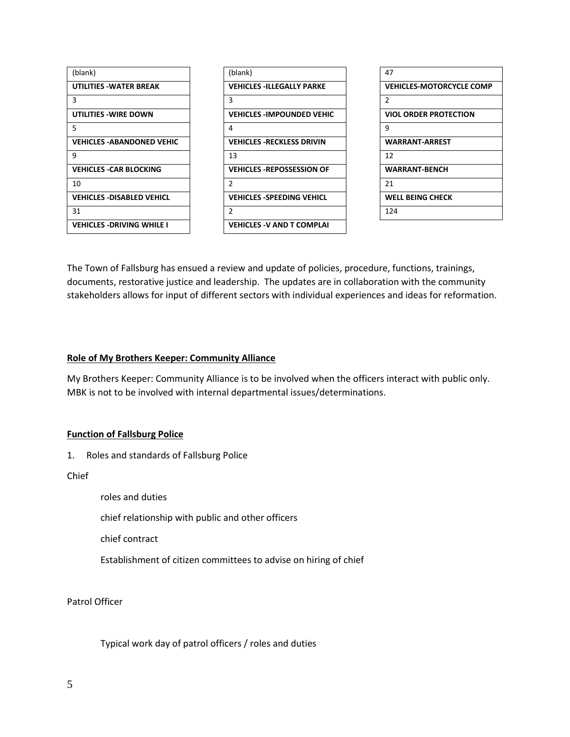

| 47                              |
|---------------------------------|
| <b>VEHICLES-MOTORCYCLE COMP</b> |
| $\mathfrak{p}$                  |
| <b>VIOL ORDER PROTECTION</b>    |
| ٩                               |
| <b>WARRANT-ARREST</b>           |
| 12                              |
| <b>WARRANT-BENCH</b>            |
| 21                              |
| <b>WELL BEING CHECK</b>         |
| 124                             |

The Town of Fallsburg has ensued a review and update of policies, procedure, functions, trainings, documents, restorative justice and leadership. The updates are in collaboration with the community stakeholders allows for input of different sectors with individual experiences and ideas for reformation.

#### **Role of My Brothers Keeper: Community Alliance**

My Brothers Keeper: Community Alliance is to be involved when the officers interact with public only. MBK is not to be involved with internal departmental issues/determinations.

#### **Function of Fallsburg Police**

1. Roles and standards of Fallsburg Police

Chief

roles and duties

chief relationship with public and other officers

chief contract

Establishment of citizen committees to advise on hiring of chief

Patrol Officer

Typical work day of patrol officers / roles and duties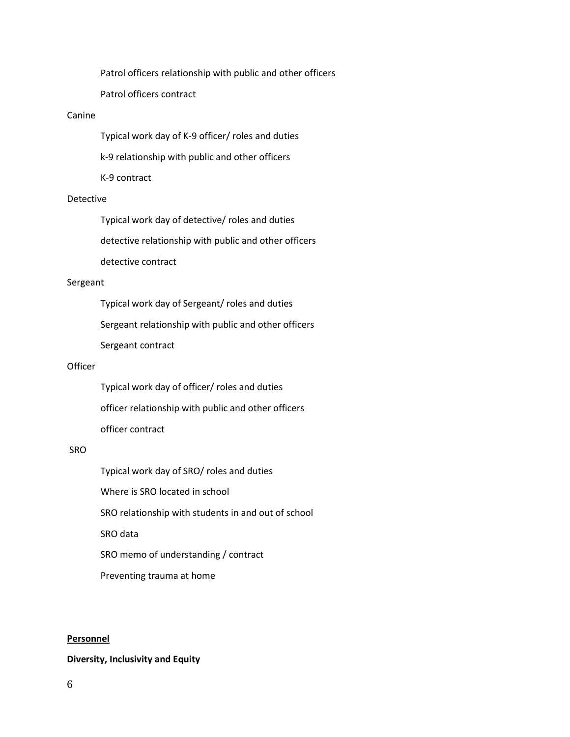Patrol officers relationship with public and other officers

Patrol officers contract

#### Canine

Typical work day of K-9 officer/ roles and duties

k-9 relationship with public and other officers

K-9 contract

## Detective

Typical work day of detective/ roles and duties

detective relationship with public and other officers

detective contract

#### Sergeant

Typical work day of Sergeant/ roles and duties

Sergeant relationship with public and other officers

Sergeant contract

#### **Officer**

Typical work day of officer/ roles and duties officer relationship with public and other officers officer contract

## SRO

Typical work day of SRO/ roles and duties Where is SRO located in school SRO relationship with students in and out of school SRO data SRO memo of understanding / contract Preventing trauma at home

#### **Personnel**

#### **Diversity, Inclusivity and Equity**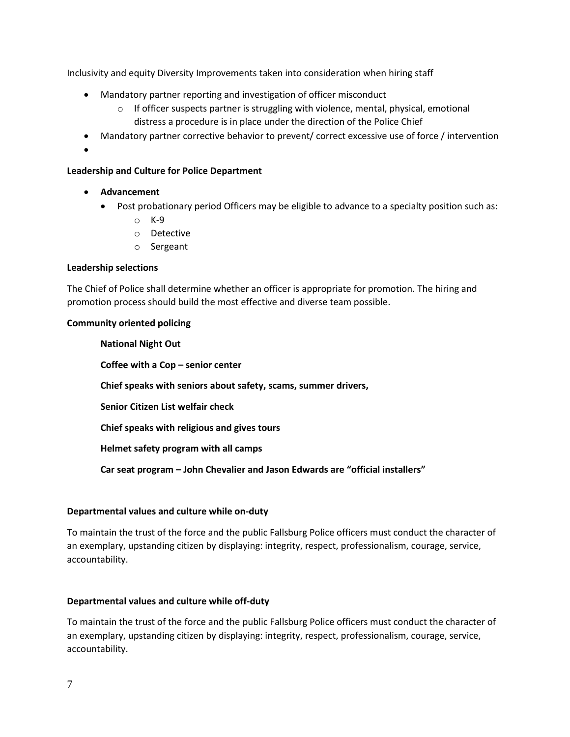Inclusivity and equity Diversity Improvements taken into consideration when hiring staff

- Mandatory partner reporting and investigation of officer misconduct
	- $\circ$  If officer suspects partner is struggling with violence, mental, physical, emotional distress a procedure is in place under the direction of the Police Chief
- Mandatory partner corrective behavior to prevent/ correct excessive use of force / intervention
- $\bullet$

# **Leadership and Culture for Police Department**

- **Advancement**
	- Post probationary period Officers may be eligible to advance to a specialty position such as:
		- o K-9
		- o Detective
		- o Sergeant

## **Leadership selections**

The Chief of Police shall determine whether an officer is appropriate for promotion. The hiring and promotion process should build the most effective and diverse team possible.

## **Community oriented policing**

**National Night Out Coffee with a Cop – senior center Chief speaks with seniors about safety, scams, summer drivers, Senior Citizen List welfair check Chief speaks with religious and gives tours Helmet safety program with all camps Car seat program – John Chevalier and Jason Edwards are "official installers"**

## **Departmental values and culture while on-duty**

To maintain the trust of the force and the public Fallsburg Police officers must conduct the character of an exemplary, upstanding citizen by displaying: integrity, respect, professionalism, courage, service, accountability.

## **Departmental values and culture while off-duty**

To maintain the trust of the force and the public Fallsburg Police officers must conduct the character of an exemplary, upstanding citizen by displaying: integrity, respect, professionalism, courage, service, accountability.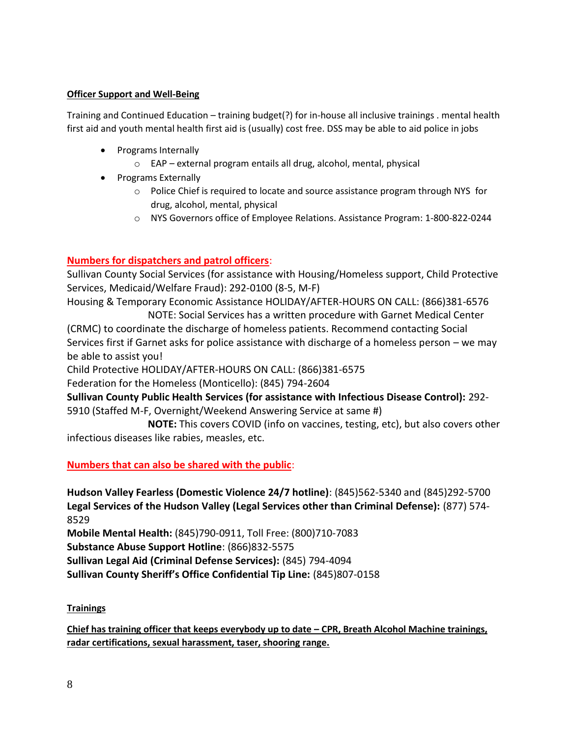# **Officer Support and Well-Being**

Training and Continued Education – training budget(?) for in-house all inclusive trainings . mental health first aid and youth mental health first aid is (usually) cost free. DSS may be able to aid police in jobs

- Programs Internally
	- o EAP external program entails all drug, alcohol, mental, physical
- Programs Externally
	- o Police Chief is required to locate and source assistance program through NYS for drug, alcohol, mental, physical
	- o NYS Governors office of Employee Relations. Assistance Program: 1-800-822-0244

# **Numbers for dispatchers and patrol officers**:

Sullivan County Social Services (for assistance with Housing/Homeless support, Child Protective Services, Medicaid/Welfare Fraud): 292-0100 (8-5, M-F)

Housing & Temporary Economic Assistance HOLIDAY/AFTER-HOURS ON CALL: (866)381-6576 NOTE: Social Services has a written procedure with Garnet Medical Center

(CRMC) to coordinate the discharge of homeless patients. Recommend contacting Social Services first if Garnet asks for police assistance with discharge of a homeless person – we may be able to assist you!

Child Protective HOLIDAY/AFTER-HOURS ON CALL: (866)381-6575

Federation for the Homeless (Monticello): (845) 794-2604

**Sullivan County Public Health Services (for assistance with Infectious Disease Control):** 292- 5910 (Staffed M-F, Overnight/Weekend Answering Service at same #)

 **NOTE:** This covers COVID (info on vaccines, testing, etc), but also covers other infectious diseases like rabies, measles, etc.

# **Numbers that can also be shared with the public**:

**Hudson Valley Fearless (Domestic Violence 24/7 hotline)**: (845)562-5340 and (845)292-5700 **Legal Services of the Hudson Valley (Legal Services other than Criminal Defense):** (877) 574- 8529

**Mobile Mental Health:** (845)790-0911, Toll Free: (800)710-7083

**Substance Abuse Support Hotline**: (866)832-5575

**Sullivan Legal Aid (Criminal Defense Services):** (845) 794-4094

**Sullivan County Sheriff's Office Confidential Tip Line:** (845)807-0158

# **Trainings**

**Chief has training officer that keeps everybody up to date – CPR, Breath Alcohol Machine trainings, radar certifications, sexual harassment, taser, shooring range.**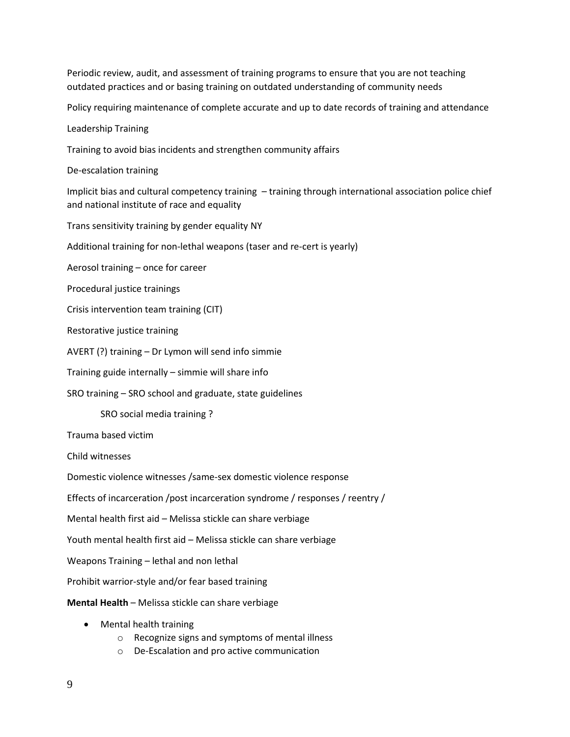Periodic review, audit, and assessment of training programs to ensure that you are not teaching outdated practices and or basing training on outdated understanding of community needs

Policy requiring maintenance of complete accurate and up to date records of training and attendance

Leadership Training

Training to avoid bias incidents and strengthen community affairs

De-escalation training

Implicit bias and cultural competency training – training through international association police chief and national institute of race and equality

Trans sensitivity training by gender equality NY

Additional training for non-lethal weapons (taser and re-cert is yearly)

Aerosol training – once for career

Procedural justice trainings

Crisis intervention team training (CIT)

Restorative justice training

AVERT (?) training – Dr Lymon will send info simmie

Training guide internally – simmie will share info

SRO training – SRO school and graduate, state guidelines

SRO social media training ?

Trauma based victim

Child witnesses

Domestic violence witnesses /same-sex domestic violence response

Effects of incarceration /post incarceration syndrome / responses / reentry /

Mental health first aid – Melissa stickle can share verbiage

Youth mental health first aid – Melissa stickle can share verbiage

Weapons Training – lethal and non lethal

Prohibit warrior-style and/or fear based training

**Mental Health** – Melissa stickle can share verbiage

- Mental health training
	- o Recognize signs and symptoms of mental illness
	- o De-Escalation and pro active communication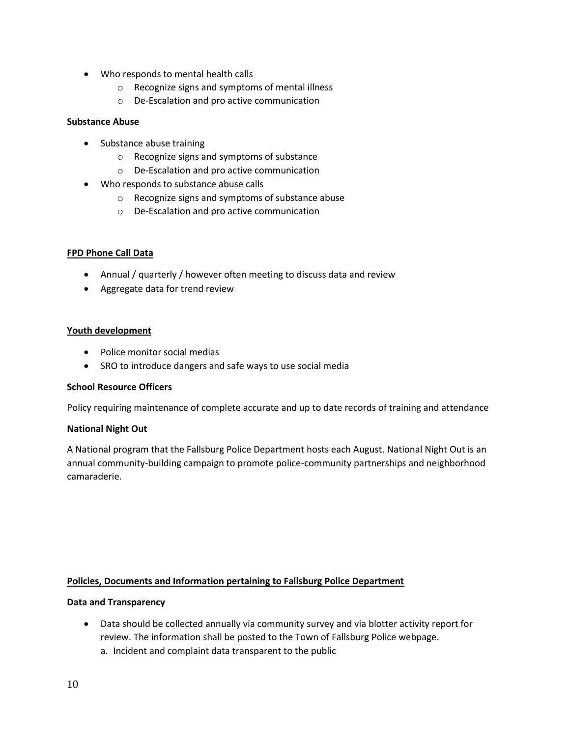- Who responds to mental health calls
	- o Recognize signs and symptoms of mental illness
	- o De-Escalation and pro active communication

## **Substance Abuse**

- Substance abuse training
	- o Recognize signs and symptoms of substance
	- o De-Escalation and pro active communication
- Who responds to substance abuse calls
	- o Recognize signs and symptoms of substance abuse
	- o De-Escalation and pro active communication

## **FPD Phone Call Data**

- Annual / quarterly / however often meeting to discuss data and review
- Aggregate data for trend review

## **Youth development**

- Police monitor social medias
- SRO to introduce dangers and safe ways to use social media

## **School Resource Officers**

Policy requiring maintenance of complete accurate and up to date records of training and attendance

## **National Night Out**

A National program that the Fallsburg Police Department hosts each August. National Night Out is an annual community-building campaign to promote police-community partnerships and neighborhood camaraderie.

## **Policies, Documents and Information pertaining to Fallsburg Police Department**

## **Data and Transparency**

 Data should be collected annually via community survey and via blotter activity report for review. The information shall be posted to the Town of Fallsburg Police webpage. a. Incident and complaint data transparent to the public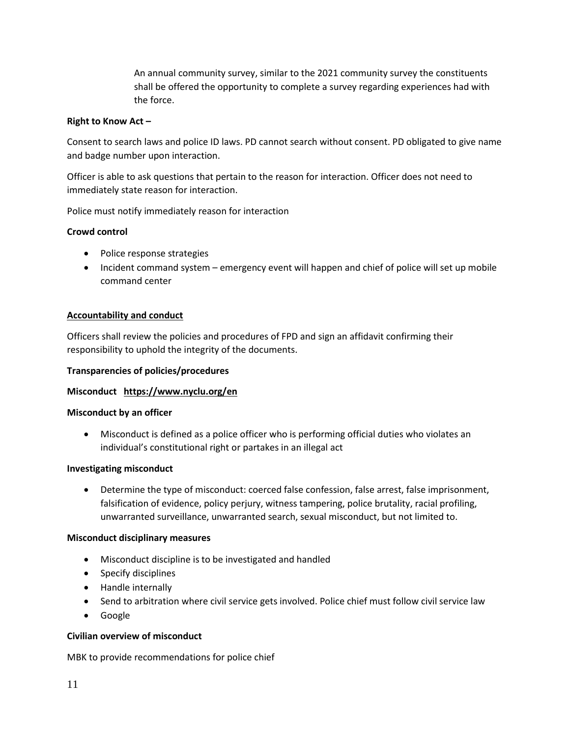An annual community survey, similar to the 2021 community survey the constituents shall be offered the opportunity to complete a survey regarding experiences had with the force.

## **Right to Know Act –**

Consent to search laws and police ID laws. PD cannot search without consent. PD obligated to give name and badge number upon interaction.

Officer is able to ask questions that pertain to the reason for interaction. Officer does not need to immediately state reason for interaction.

Police must notify immediately reason for interaction

# **Crowd control**

- Police response strategies
- Incident command system emergency event will happen and chief of police will set up mobile command center

## **Accountability and conduct**

Officers shall review the policies and procedures of FPD and sign an affidavit confirming their responsibility to uphold the integrity of the documents.

## **Transparencies of policies/procedures**

## **Misconduct <https://www.nyclu.org/en>**

## **Misconduct by an officer**

 Misconduct is defined as a police officer who is performing official duties who violates an individual's constitutional right or partakes in an illegal act

## **Investigating misconduct**

 Determine the type of misconduct: coerced false confession, false arrest, false imprisonment, falsification of evidence, policy perjury, witness tampering, police brutality, racial profiling, unwarranted surveillance, unwarranted search, sexual misconduct, but not limited to.

## **Misconduct disciplinary measures**

- Misconduct discipline is to be investigated and handled
- Specify disciplines
- Handle internally
- Send to arbitration where civil service gets involved. Police chief must follow civil service law
- Google

## **Civilian overview of misconduct**

MBK to provide recommendations for police chief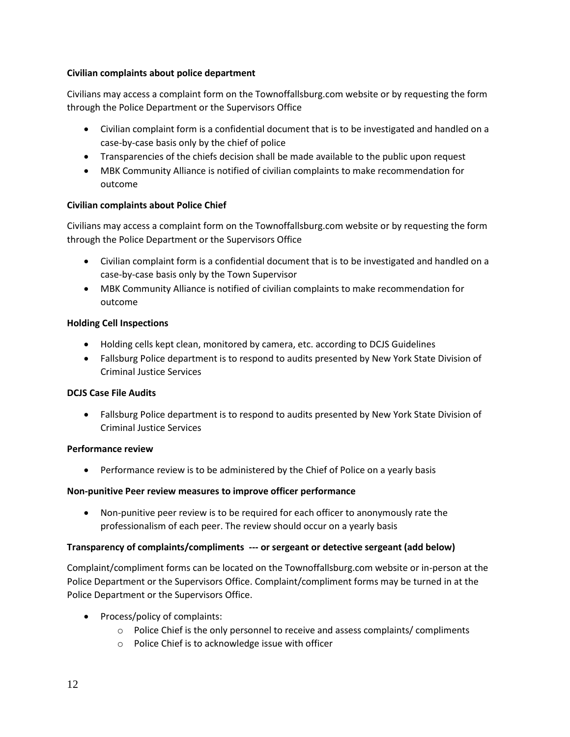# **Civilian complaints about police department**

Civilians may access a complaint form on the Townoffallsburg.com website or by requesting the form through the Police Department or the Supervisors Office

- Civilian complaint form is a confidential document that is to be investigated and handled on a case-by-case basis only by the chief of police
- Transparencies of the chiefs decision shall be made available to the public upon request
- MBK Community Alliance is notified of civilian complaints to make recommendation for outcome

# **Civilian complaints about Police Chief**

Civilians may access a complaint form on the Townoffallsburg.com website or by requesting the form through the Police Department or the Supervisors Office

- Civilian complaint form is a confidential document that is to be investigated and handled on a case-by-case basis only by the Town Supervisor
- MBK Community Alliance is notified of civilian complaints to make recommendation for outcome

# **Holding Cell Inspections**

- Holding cells kept clean, monitored by camera, etc. according to DCJS Guidelines
- Fallsburg Police department is to respond to audits presented by New York State Division of Criminal Justice Services

# **DCJS Case File Audits**

 Fallsburg Police department is to respond to audits presented by New York State Division of Criminal Justice Services

## **Performance review**

Performance review is to be administered by the Chief of Police on a yearly basis

# **Non-punitive Peer review measures to improve officer performance**

 Non-punitive peer review is to be required for each officer to anonymously rate the professionalism of each peer. The review should occur on a yearly basis

## **Transparency of complaints/compliments --- or sergeant or detective sergeant (add below)**

Complaint/compliment forms can be located on the Townoffallsburg.com website or in-person at the Police Department or the Supervisors Office. Complaint/compliment forms may be turned in at the Police Department or the Supervisors Office.

- Process/policy of complaints:
	- $\circ$  Police Chief is the only personnel to receive and assess complaints/ compliments
	- o Police Chief is to acknowledge issue with officer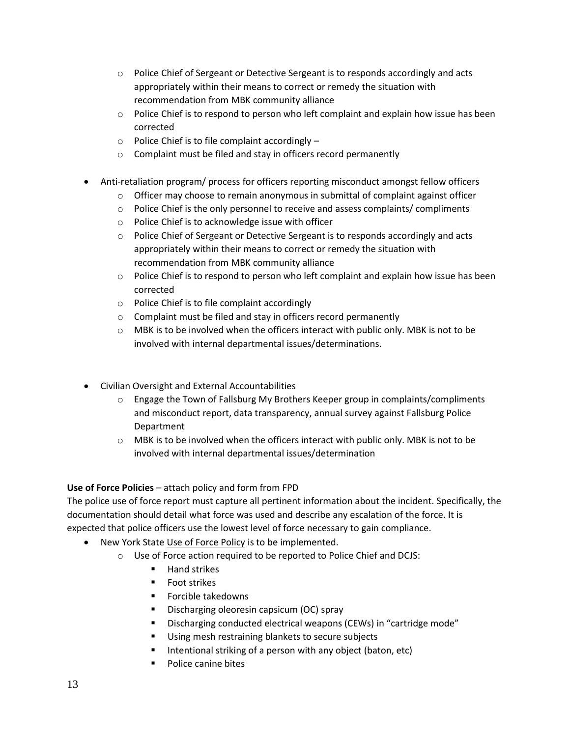- $\circ$  Police Chief of Sergeant or Detective Sergeant is to responds accordingly and acts appropriately within their means to correct or remedy the situation with recommendation from MBK community alliance
- $\circ$  Police Chief is to respond to person who left complaint and explain how issue has been corrected
- $\circ$  Police Chief is to file complaint accordingly –
- o Complaint must be filed and stay in officers record permanently
- Anti-retaliation program/ process for officers reporting misconduct amongst fellow officers
	- $\circ$  Officer may choose to remain anonymous in submittal of complaint against officer
	- o Police Chief is the only personnel to receive and assess complaints/ compliments
	- o Police Chief is to acknowledge issue with officer
	- $\circ$  Police Chief of Sergeant or Detective Sergeant is to responds accordingly and acts appropriately within their means to correct or remedy the situation with recommendation from MBK community alliance
	- $\circ$  Police Chief is to respond to person who left complaint and explain how issue has been corrected
	- o Police Chief is to file complaint accordingly
	- o Complaint must be filed and stay in officers record permanently
	- $\circ$  MBK is to be involved when the officers interact with public only. MBK is not to be involved with internal departmental issues/determinations.
- Civilian Oversight and External Accountabilities
	- $\circ$  Engage the Town of Fallsburg My Brothers Keeper group in complaints/compliments and misconduct report, data transparency, annual survey against Fallsburg Police Department
	- $\circ$  MBK is to be involved when the officers interact with public only. MBK is not to be involved with internal departmental issues/determination

# **Use of Force Policies** – attach policy and form from FPD

The police use of force report must capture all pertinent information about the incident. Specifically, the documentation should detail what force was used and describe any escalation of the force. It is expected that police officers use the lowest level of force necessary to gain compliance.

- New York State [Use of Force Policy](https://www.criminaljustice.ny.gov/crimnet/ojsa/crimereporting/MPTC-Model-Policy-Use-of-Force-2019.pdf?fbclid=IwAR1rfdEhq5t1_PhtzMBAs5F-liB1wrP81Fpi44Ol2qJ-wHZccUfePmtsIJE) is to be implemented.
	- o Use of Force action required to be reported to Police Chief and DCJS:
		- **Hand strikes**
		- **Foot strikes**
		- **Forcible takedowns**
		- Discharging oleoresin capsicum (OC) spray
		- Discharging conducted electrical weapons (CEWs) in "cartridge mode"
		- **Using mesh restraining blankets to secure subjects**
		- Intentional striking of a person with any object (baton, etc)
		- Police canine bites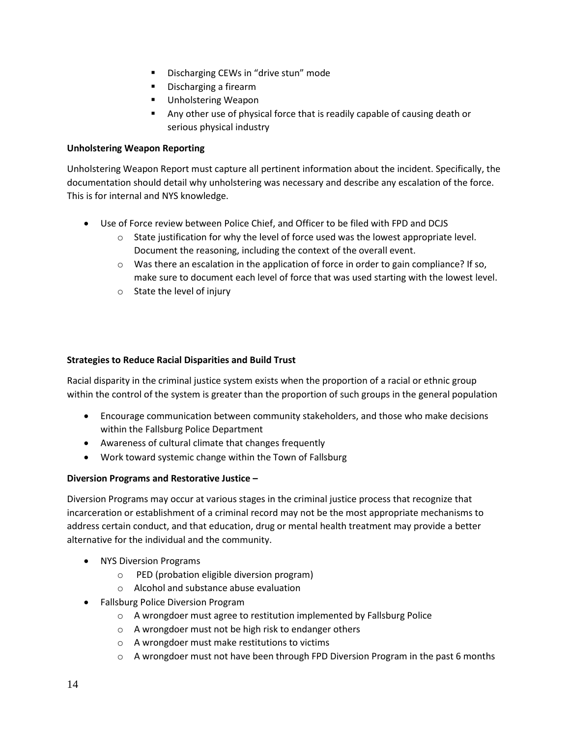- Discharging CEWs in "drive stun" mode
- **Discharging a firearm**
- Unholstering Weapon
- Any other use of physical force that is readily capable of causing death or serious physical industry

# **Unholstering Weapon Reporting**

Unholstering Weapon Report must capture all pertinent information about the incident. Specifically, the documentation should detail why unholstering was necessary and describe any escalation of the force. This is for internal and NYS knowledge.

- Use of Force review between Police Chief, and Officer to be filed with FPD and DCJS
	- $\circ$  State justification for why the level of force used was the lowest appropriate level. Document the reasoning, including the context of the overall event.
	- $\circ$  Was there an escalation in the application of force in order to gain compliance? If so, make sure to document each level of force that was used starting with the lowest level.
	- o State the level of injury

# **Strategies to Reduce Racial Disparities and Build Trust**

Racial disparity in the criminal justice system exists when the proportion of a racial or ethnic group within the control of the system is greater than the proportion of such groups in the general population

- Encourage communication between community stakeholders, and those who make decisions within the Fallsburg Police Department
- Awareness of cultural climate that changes frequently
- Work toward systemic change within the Town of Fallsburg

# **Diversion Programs and Restorative Justice –**

Diversion Programs may occur at various stages in the criminal justice process that recognize that incarceration or establishment of a criminal record may not be the most appropriate mechanisms to address certain conduct, and that education, drug or mental health treatment may provide a better alternative for the individual and the community.

- NYS Diversion Programs
	- o PED (probation eligible diversion program)
	- o Alcohol and substance abuse evaluation
- Fallsburg Police Diversion Program
	- o A wrongdoer must agree to restitution implemented by Fallsburg Police
	- o A wrongdoer must not be high risk to endanger others
	- o A wrongdoer must make restitutions to victims
	- $\circ$  A wrongdoer must not have been through FPD Diversion Program in the past 6 months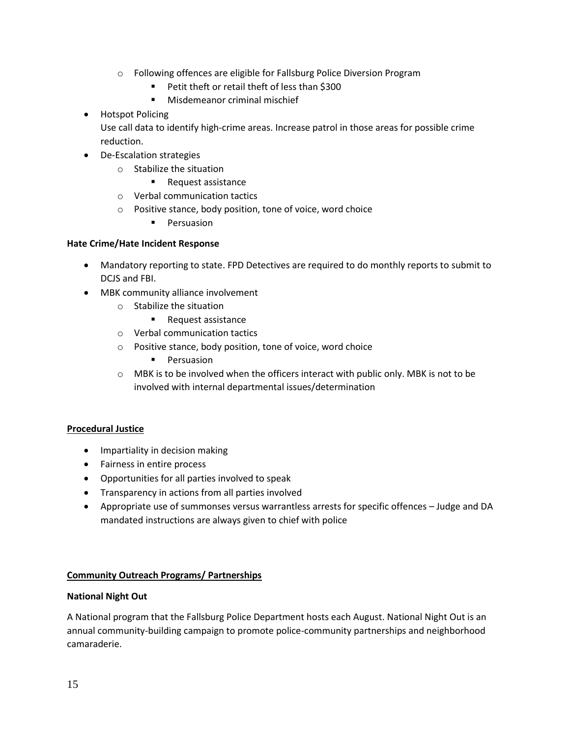- o Following offences are eligible for Fallsburg Police Diversion Program
	- Petit theft or retail theft of less than \$300
	- **Misdemeanor criminal mischief**
- **•** Hotspot Policing

Use call data to identify high-crime areas. Increase patrol in those areas for possible crime reduction.

- De-Escalation strategies
	- o Stabilize the situation
		- **Request assistance**
	- o Verbal communication tactics
	- o Positive stance, body position, tone of voice, word choice
		- **Persuasion**

## **Hate Crime/Hate Incident Response**

- Mandatory reporting to state. FPD Detectives are required to do monthly reports to submit to DCJS and FBI.
- MBK community alliance involvement
	- o Stabilize the situation
		- **Request assistance**
	- o Verbal communication tactics
	- o Positive stance, body position, tone of voice, word choice
		- **Persuasion**
	- $\circ$  MBK is to be involved when the officers interact with public only. MBK is not to be involved with internal departmental issues/determination

## **Procedural Justice**

- Impartiality in decision making
- Fairness in entire process
- Opportunities for all parties involved to speak
- Transparency in actions from all parties involved
- Appropriate use of summonses versus warrantless arrests for specific offences Judge and DA mandated instructions are always given to chief with police

## **Community Outreach Programs/ Partnerships**

## **National Night Out**

A National program that the Fallsburg Police Department hosts each August. National Night Out is an annual community-building campaign to promote police-community partnerships and neighborhood camaraderie.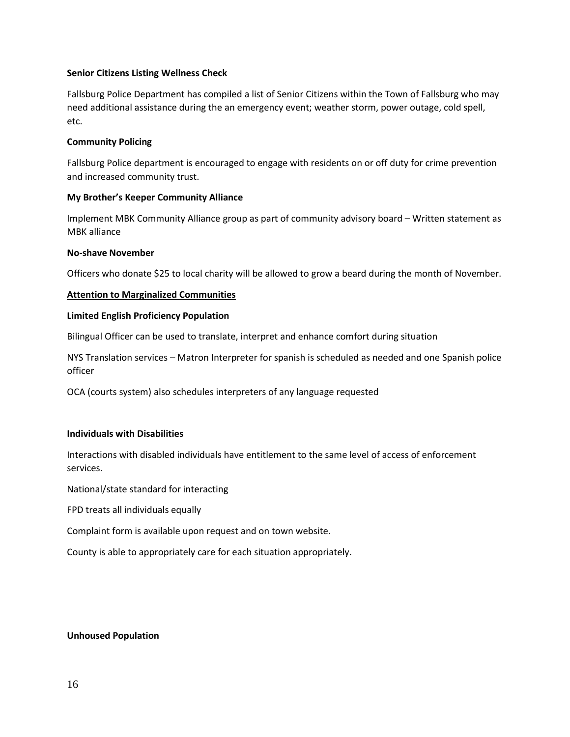#### **Senior Citizens Listing Wellness Check**

Fallsburg Police Department has compiled a list of Senior Citizens within the Town of Fallsburg who may need additional assistance during the an emergency event; weather storm, power outage, cold spell, etc.

#### **Community Policing**

Fallsburg Police department is encouraged to engage with residents on or off duty for crime prevention and increased community trust.

#### **My Brother's Keeper Community Alliance**

Implement MBK Community Alliance group as part of community advisory board – Written statement as MBK alliance

#### **No-shave November**

Officers who donate \$25 to local charity will be allowed to grow a beard during the month of November.

#### **Attention to Marginalized Communities**

#### **Limited English Proficiency Population**

Bilingual Officer can be used to translate, interpret and enhance comfort during situation

NYS Translation services – Matron Interpreter for spanish is scheduled as needed and one Spanish police officer

OCA (courts system) also schedules interpreters of any language requested

#### **Individuals with Disabilities**

Interactions with disabled individuals have entitlement to the same level of access of enforcement services.

National/state standard for interacting

FPD treats all individuals equally

Complaint form is available upon request and on town website.

County is able to appropriately care for each situation appropriately.

#### **Unhoused Population**